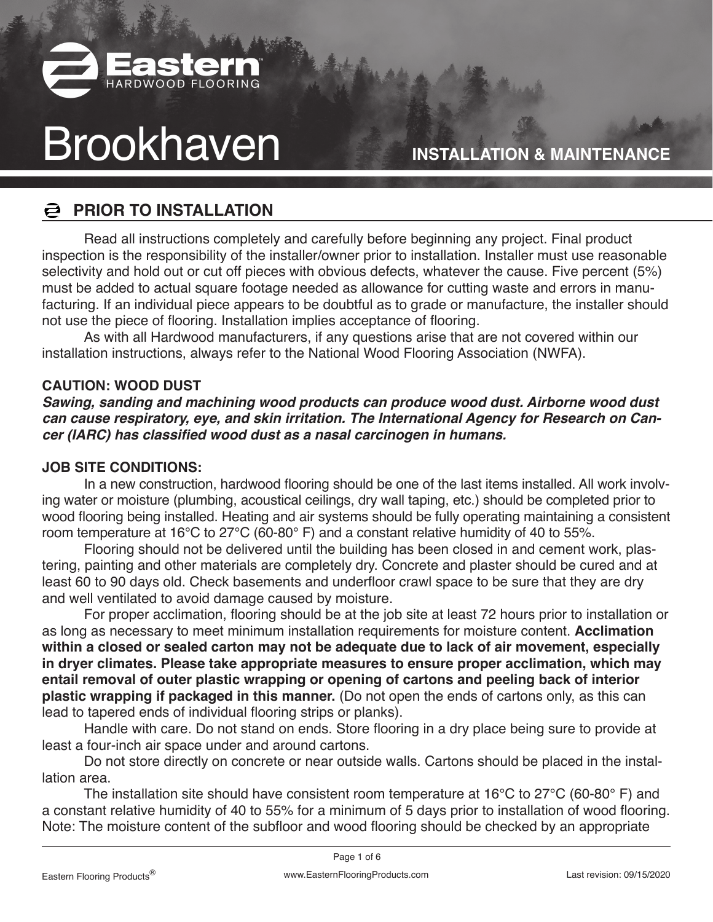

**INSTALLATION & MAINTENANCE**

## **PRIOR TO INSTALLATION**

Read all instructions completely and carefully before beginning any project. Final product inspection is the responsibility of the installer/owner prior to installation. Installer must use reasonable selectivity and hold out or cut off pieces with obvious defects, whatever the cause. Five percent (5%) must be added to actual square footage needed as allowance for cutting waste and errors in manufacturing. If an individual piece appears to be doubtful as to grade or manufacture, the installer should not use the piece of flooring. Installation implies acceptance of flooring.

As with all Hardwood manufacturers, if any questions arise that are not covered within our installation instructions, always refer to the National Wood Flooring Association (NWFA).

#### **CAUTION: WOOD DUST**

**Sawing, sanding and machining wood products can produce wood dust. Airborne wood dust can cause respiratory, eye, and skin irritation. The International Agency for Research on Cancer (IARC) has classified wood dust as a nasal carcinogen in humans.**

#### **JOB SITE CONDITIONS:**

In a new construction, hardwood flooring should be one of the last items installed. All work involving water or moisture (plumbing, acoustical ceilings, dry wall taping, etc.) should be completed prior to wood flooring being installed. Heating and air systems should be fully operating maintaining a consistent room temperature at 16°C to 27°C (60-80° F) and a constant relative humidity of 40 to 55%.

Flooring should not be delivered until the building has been closed in and cement work, plastering, painting and other materials are completely dry. Concrete and plaster should be cured and at least 60 to 90 days old. Check basements and underfloor crawl space to be sure that they are dry and well ventilated to avoid damage caused by moisture.

For proper acclimation, flooring should be at the job site at least 72 hours prior to installation or as long as necessary to meet minimum installation requirements for moisture content. **Acclimation within a closed or sealed carton may not be adequate due to lack of air movement, especially in dryer climates. Please take appropriate measures to ensure proper acclimation, which may entail removal of outer plastic wrapping or opening of cartons and peeling back of interior plastic wrapping if packaged in this manner.** (Do not open the ends of cartons only, as this can lead to tapered ends of individual flooring strips or planks).

Handle with care. Do not stand on ends. Store flooring in a dry place being sure to provide at least a four-inch air space under and around cartons.

Do not store directly on concrete or near outside walls. Cartons should be placed in the installation area.

The installation site should have consistent room temperature at 16°C to 27°C (60-80° F) and a constant relative humidity of 40 to 55% for a minimum of 5 days prior to installation of wood flooring. Note: The moisture content of the subfloor and wood flooring should be checked by an appropriate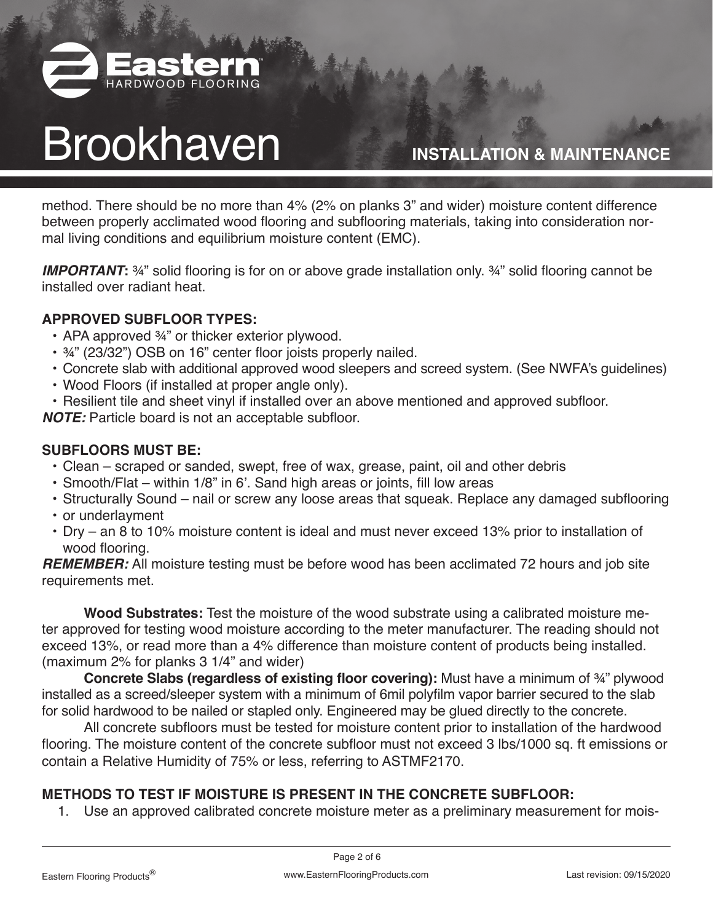

**INSTALLATION & MAINTENANCE**

method. There should be no more than 4% (2% on planks 3" and wider) moisture content difference between properly acclimated wood flooring and subflooring materials, taking into consideration normal living conditions and equilibrium moisture content (EMC).

**IMPORTANT:** ¾" solid flooring is for on or above grade installation only. ¾" solid flooring cannot be installed over radiant heat.

### **APPROVED SUBFLOOR TYPES:**

- APA approved 3/4" or thicker exterior plywood.
- ¾" (23/32") OSB on 16" center floor joists properly nailed.
- Concrete slab with additional approved wood sleepers and screed system. (See NWFA's guidelines)
- Wood Floors (if installed at proper angle only).
- Resilient tile and sheet vinyl if installed over an above mentioned and approved subfloor.

**NOTE:** Particle board is not an acceptable subfloor.

#### **SUBFLOORS MUST BE:**

- Clean scraped or sanded, swept, free of wax, grease, paint, oil and other debris
- Smooth/Flat within 1/8" in 6'. Sand high areas or joints, fill low areas
- Structurally Sound nail or screw any loose areas that squeak. Replace any damaged subflooring
- or underlayment
- Dry an 8 to 10% moisture content is ideal and must never exceed 13% prior to installation of wood flooring.

**REMEMBER:** All moisture testing must be before wood has been acclimated 72 hours and job site requirements met.

**Wood Substrates:** Test the moisture of the wood substrate using a calibrated moisture meter approved for testing wood moisture according to the meter manufacturer. The reading should not exceed 13%, or read more than a 4% difference than moisture content of products being installed. (maximum 2% for planks 3 1/4" and wider)

**Concrete Slabs (regardless of existing floor covering):** Must have a minimum of ¾" plywood installed as a screed/sleeper system with a minimum of 6mil polyfilm vapor barrier secured to the slab for solid hardwood to be nailed or stapled only. Engineered may be glued directly to the concrete.

All concrete subfloors must be tested for moisture content prior to installation of the hardwood flooring. The moisture content of the concrete subfloor must not exceed 3 lbs/1000 sq. ft emissions or contain a Relative Humidity of 75% or less, referring to ASTMF2170.

### **METHODS TO TEST IF MOISTURE IS PRESENT IN THE CONCRETE SUBFLOOR:**

1. Use an approved calibrated concrete moisture meter as a preliminary measurement for mois-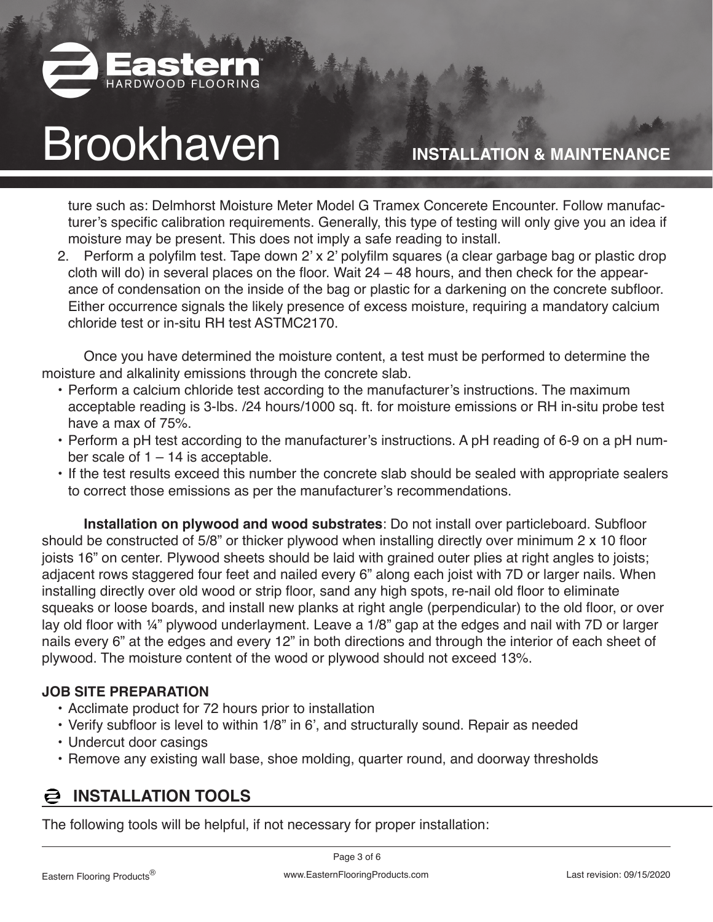

### **INSTALLATION & MAINTENANCE**

ture such as: Delmhorst Moisture Meter Model G Tramex Concerete Encounter. Follow manufacturer's specific calibration requirements. Generally, this type of testing will only give you an idea if moisture may be present. This does not imply a safe reading to install.

2. Perform a polyfilm test. Tape down 2' x 2' polyfilm squares (a clear garbage bag or plastic drop cloth will do) in several places on the floor. Wait 24 – 48 hours, and then check for the appearance of condensation on the inside of the bag or plastic for a darkening on the concrete subfloor. Either occurrence signals the likely presence of excess moisture, requiring a mandatory calcium chloride test or in-situ RH test ASTMC2170.

Once you have determined the moisture content, a test must be performed to determine the moisture and alkalinity emissions through the concrete slab.

- Perform a calcium chloride test according to the manufacturer's instructions. The maximum acceptable reading is 3-lbs. /24 hours/1000 sq. ft. for moisture emissions or RH in-situ probe test have a max of 75%.
- Perform a pH test according to the manufacturer's instructions. A pH reading of 6-9 on a pH number scale of  $1 - 14$  is acceptable.
- If the test results exceed this number the concrete slab should be sealed with appropriate sealers to correct those emissions as per the manufacturer's recommendations.

**Installation on plywood and wood substrates**: Do not install over particleboard. Subfloor should be constructed of 5/8" or thicker plywood when installing directly over minimum 2 x 10 floor joists 16" on center. Plywood sheets should be laid with grained outer plies at right angles to joists; adjacent rows staggered four feet and nailed every 6" along each joist with 7D or larger nails. When installing directly over old wood or strip floor, sand any high spots, re-nail old floor to eliminate squeaks or loose boards, and install new planks at right angle (perpendicular) to the old floor, or over lay old floor with ¼" plywood underlayment. Leave a 1/8" gap at the edges and nail with 7D or larger nails every 6" at the edges and every 12" in both directions and through the interior of each sheet of plywood. The moisture content of the wood or plywood should not exceed 13%.

#### **JOB SITE PREPARATION**

- Acclimate product for 72 hours prior to installation
- Verify subfloor is level to within 1/8" in 6', and structurally sound. Repair as needed
- Undercut door casings
- Remove any existing wall base, shoe molding, quarter round, and doorway thresholds

## **INSTALLATION TOOLS**

The following tools will be helpful, if not necessary for proper installation: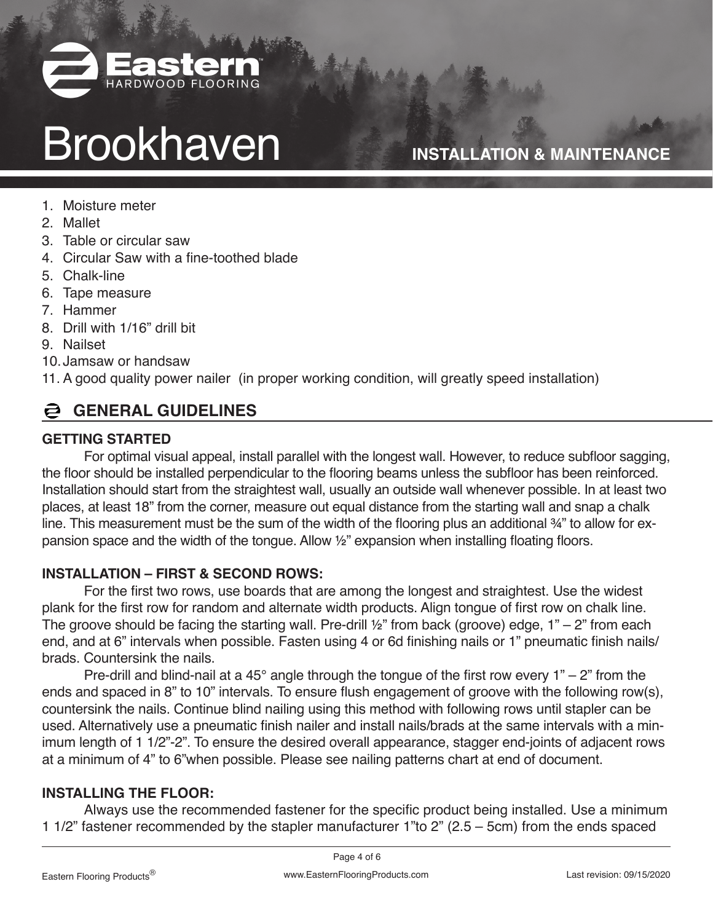

## **INSTALLATION & MAINTENANCE**

- 1. Moisture meter
- 2. Mallet
- 3. Table or circular saw
- 4. Circular Saw with a fine-toothed blade
- 5. Chalk-line
- 6. Tape measure
- 7. Hammer
- 8. Drill with 1/16" drill bit
- 9. Nailset
- 10.Jamsaw or handsaw
- 11. A good quality power nailer (in proper working condition, will greatly speed installation)

## **GENERAL GUIDELINES**

### **GETTING STARTED**

For optimal visual appeal, install parallel with the longest wall. However, to reduce subfloor sagging, the floor should be installed perpendicular to the flooring beams unless the subfloor has been reinforced. Installation should start from the straightest wall, usually an outside wall whenever possible. In at least two places, at least 18" from the corner, measure out equal distance from the starting wall and snap a chalk line. This measurement must be the sum of the width of the flooring plus an additional  $\frac{3}{4}$ " to allow for expansion space and the width of the tongue. Allow 1/2" expansion when installing floating floors.

### **INSTALLATION – FIRST & SECOND ROWS:**

For the first two rows, use boards that are among the longest and straightest. Use the widest plank for the first row for random and alternate width products. Align tongue of first row on chalk line. The groove should be facing the starting wall. Pre-drill  $\frac{1}{2}$ " from back (groove) edge, 1" – 2" from each end, and at 6" intervals when possible. Fasten using 4 or 6d finishing nails or 1" pneumatic finish nails/ brads. Countersink the nails.

Pre-drill and blind-nail at a 45 $^{\circ}$  angle through the tongue of the first row every 1" – 2" from the ends and spaced in 8" to 10" intervals. To ensure flush engagement of groove with the following row(s), countersink the nails. Continue blind nailing using this method with following rows until stapler can be used. Alternatively use a pneumatic finish nailer and install nails/brads at the same intervals with a minimum length of 1 1/2"-2". To ensure the desired overall appearance, stagger end-joints of adjacent rows at a minimum of 4" to 6"when possible. Please see nailing patterns chart at end of document.

### **INSTALLING THE FLOOR:**

Always use the recommended fastener for the specific product being installed. Use a minimum 1 1/2" fastener recommended by the stapler manufacturer 1"to 2" (2.5 – 5cm) from the ends spaced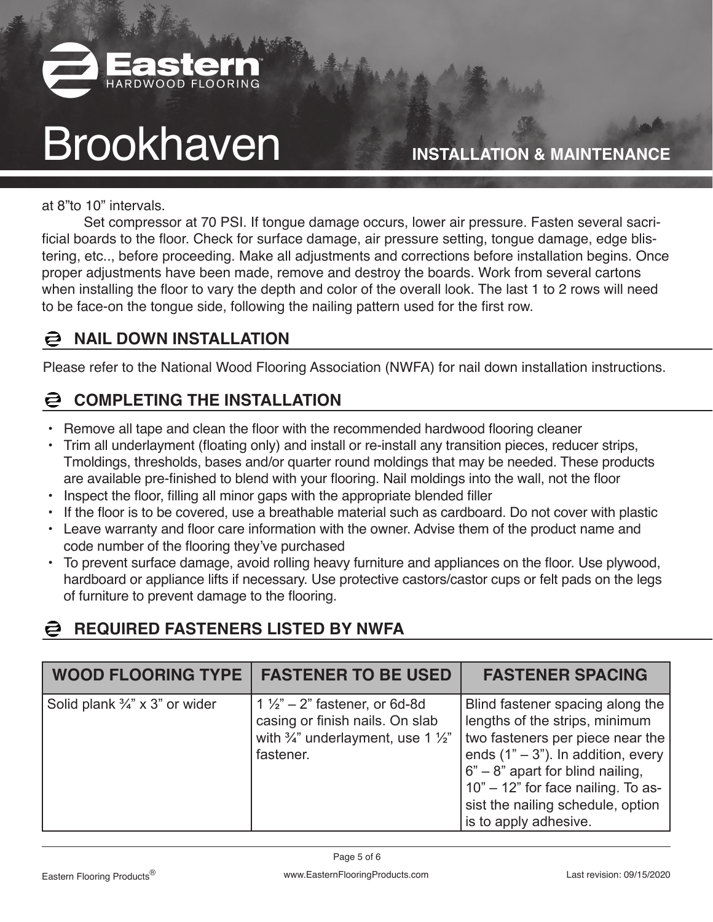

**INSTALLATION & MAINTENANCE**

at 8"to 10" intervals.

Set compressor at 70 PSI. If tongue damage occurs, lower air pressure. Fasten several sacrificial boards to the floor. Check for surface damage, air pressure setting, tongue damage, edge blistering, etc.., before proceeding. Make all adjustments and corrections before installation begins. Once proper adjustments have been made, remove and destroy the boards. Work from several cartons when installing the floor to vary the depth and color of the overall look. The last 1 to 2 rows will need to be face-on the tongue side, following the nailing pattern used for the first row.

#### a **NAIL DOWN INSTALLATION**

Please refer to the National Wood Flooring Association (NWFA) for nail down installation instructions.

### **COMPLETING THE INSTALLATION**

- Remove all tape and clean the floor with the recommended hardwood flooring cleaner
- Trim all underlayment (floating only) and install or re-install any transition pieces, reducer strips, Tmoldings, thresholds, bases and/or quarter round moldings that may be needed. These products are available pre-finished to blend with your flooring. Nail moldings into the wall, not the floor
- Inspect the floor, filling all minor gaps with the appropriate blended filler
- If the floor is to be covered, use a breathable material such as cardboard. Do not cover with plastic
- Leave warranty and floor care information with the owner. Advise them of the product name and code number of the flooring they've purchased
- To prevent surface damage, avoid rolling heavy furniture and appliances on the floor. Use plywood, hardboard or appliance lifts if necessary. Use protective castors/castor cups or felt pads on the legs of furniture to prevent damage to the flooring.

## **REQUIRED FASTENERS LISTED BY NWFA**

| <b>WOOD FLOORING TYPE</b>                 | <b>FASTENER TO BE USED</b>                                                                                                                         | <b>FASTENER SPACING</b>                                                                                                                                                                                                                                                                   |
|-------------------------------------------|----------------------------------------------------------------------------------------------------------------------------------------------------|-------------------------------------------------------------------------------------------------------------------------------------------------------------------------------------------------------------------------------------------------------------------------------------------|
| Solid plank $\frac{3}{4}$ " x 3" or wider | $1\frac{1}{2}$ – 2" fastener, or 6d-8d<br>casing or finish nails. On slab<br>with $\frac{3}{4}$ " underlayment, use 1 $\frac{1}{2}$ "<br>fastener. | Blind fastener spacing along the<br>lengths of the strips, minimum<br>two fasteners per piece near the<br>ends $(1n - 3n)$ . In addition, every<br>$6" - 8"$ apart for blind nailing,<br>10" - 12" for face nailing. To as-<br>sist the nailing schedule, option<br>is to apply adhesive. |